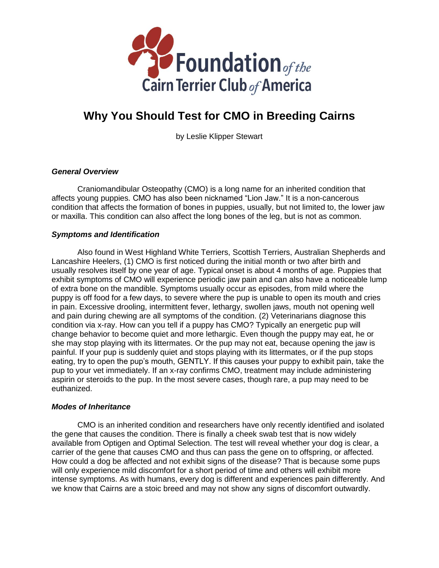

# **Why You Should Test for CMO in Breeding Cairns**

by Leslie Klipper Stewart

# *General Overview*

Craniomandibular Osteopathy (CMO) is a long name for an inherited condition that affects young puppies. CMO has also been nicknamed "Lion Jaw." It is a non-cancerous condition that affects the formation of bones in puppies, usually, but not limited to, the lower jaw or maxilla. This condition can also affect the long bones of the leg, but is not as common.

## *Symptoms and Identification*

Also found in West Highland White Terriers, Scottish Terriers, Australian Shepherds and Lancashire Heelers, (1) CMO is first noticed during the initial month or two after birth and usually resolves itself by one year of age. Typical onset is about 4 months of age. Puppies that exhibit symptoms of CMO will experience periodic jaw pain and can also have a noticeable lump of extra bone on the mandible. Symptoms usually occur as episodes, from mild where the puppy is off food for a few days, to severe where the pup is unable to open its mouth and cries in pain. Excessive drooling, intermittent fever, lethargy, swollen jaws, mouth not opening well and pain during chewing are all symptoms of the condition. (2) Veterinarians diagnose this condition via x-ray. How can you tell if a puppy has CMO? Typically an energetic pup will change behavior to become quiet and more lethargic. Even though the puppy may eat, he or she may stop playing with its littermates. Or the pup may not eat, because opening the jaw is painful. If your pup is suddenly quiet and stops playing with its littermates, or if the pup stops eating, try to open the pup's mouth, GENTLY. If this causes your puppy to exhibit pain, take the pup to your vet immediately. If an x-ray confirms CMO, treatment may include administering aspirin or steroids to the pup. In the most severe cases, though rare, a pup may need to be euthanized.

## *Modes of Inheritance*

CMO is an inherited condition and researchers have only recently identified and isolated the gene that causes the condition. There is finally a cheek swab test that is now widely available from Optigen and Optimal Selection. The test will reveal whether your dog is clear, a carrier of the gene that causes CMO and thus can pass the gene on to offspring, or affected. How could a dog be affected and not exhibit signs of the disease? That is because some pups will only experience mild discomfort for a short period of time and others will exhibit more intense symptoms. As with humans, every dog is different and experiences pain differently. And we know that Cairns are a stoic breed and may not show any signs of discomfort outwardly.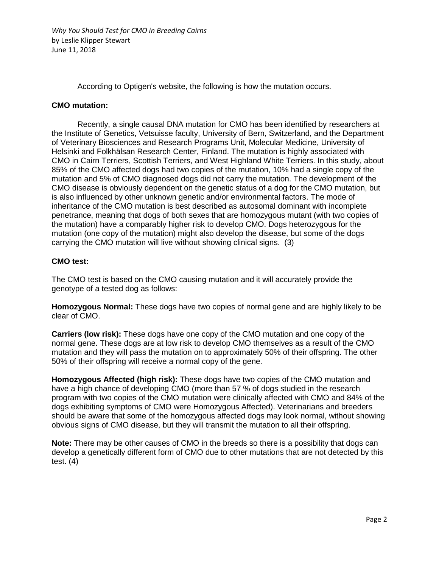*Why You Should Test for CMO in Breeding Cairns* by Leslie Klipper Stewart June 11, 2018

According to Optigen's website, the following is how the mutation occurs.

#### **CMO mutation:**

Recently, a single causal DNA mutation for CMO has been identified by researchers at the Institute of Genetics, Vetsuisse faculty, University of Bern, Switzerland, and the Department of Veterinary Biosciences and Research Programs Unit, Molecular Medicine, University of Helsinki and Folkhälsan Research Center, Finland. The mutation is highly associated with CMO in Cairn Terriers, Scottish Terriers, and West Highland White Terriers. In this study, about 85% of the CMO affected dogs had two copies of the mutation, 10% had a single copy of the mutation and 5% of CMO diagnosed dogs did not carry the mutation. The development of the CMO disease is obviously dependent on the genetic status of a dog for the CMO mutation, but is also influenced by other unknown genetic and/or environmental factors. The mode of inheritance of the CMO mutation is best described as autosomal dominant with incomplete penetrance, meaning that dogs of both sexes that are homozygous mutant (with two copies of the mutation) have a comparably higher risk to develop CMO. Dogs heterozygous for the mutation (one copy of the mutation) might also develop the disease, but some of the dogs carrying the CMO mutation will live without showing clinical signs. (3)

#### **CMO test:**

The CMO test is based on the CMO causing mutation and it will accurately provide the genotype of a tested dog as follows:

**Homozygous Normal:** These dogs have two copies of normal gene and are highly likely to be clear of CMO.

**Carriers (low risk):** These dogs have one copy of the CMO mutation and one copy of the normal gene. These dogs are at low risk to develop CMO themselves as a result of the CMO mutation and they will pass the mutation on to approximately 50% of their offspring. The other 50% of their offspring will receive a normal copy of the gene.

**Homozygous Affected (high risk):** These dogs have two copies of the CMO mutation and have a high chance of developing CMO (more than 57 % of dogs studied in the research program with two copies of the CMO mutation were clinically affected with CMO and 84% of the dogs exhibiting symptoms of CMO were Homozygous Affected). Veterinarians and breeders should be aware that some of the homozygous affected dogs may look normal, without showing obvious signs of CMO disease, but they will transmit the mutation to all their offspring.

**Note:** There may be other causes of CMO in the breeds so there is a possibility that dogs can develop a genetically different form of CMO due to other mutations that are not detected by this test. (4)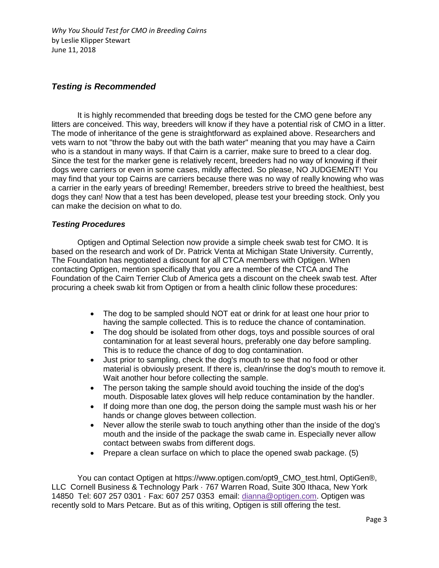*Why You Should Test for CMO in Breeding Cairns* by Leslie Klipper Stewart June 11, 2018

# *Testing is Recommended*

It is highly recommended that breeding dogs be tested for the CMO gene before any litters are conceived. This way, breeders will know if they have a potential risk of CMO in a litter. The mode of inheritance of the gene is straightforward as explained above. Researchers and vets warn to not "throw the baby out with the bath water" meaning that you may have a Cairn who is a standout in many ways. If that Cairn is a carrier, make sure to breed to a clear dog. Since the test for the marker gene is relatively recent, breeders had no way of knowing if their dogs were carriers or even in some cases, mildly affected. So please, NO JUDGEMENT! You may find that your top Cairns are carriers because there was no way of really knowing who was a carrier in the early years of breeding! Remember, breeders strive to breed the healthiest, best dogs they can! Now that a test has been developed, please test your breeding stock. Only you can make the decision on what to do.

## *Testing Procedures*

Optigen and Optimal Selection now provide a simple cheek swab test for CMO. It is based on the research and work of Dr. Patrick Venta at Michigan State University. Currently, The Foundation has negotiated a discount for all CTCA members with Optigen. When contacting Optigen, mention specifically that you are a member of the CTCA and The Foundation of the Cairn Terrier Club of America gets a discount on the cheek swab test. After procuring a cheek swab kit from Optigen or from a health clinic follow these procedures:

- The dog to be sampled should NOT eat or drink for at least one hour prior to having the sample collected. This is to reduce the chance of contamination.
- The dog should be isolated from other dogs, toys and possible sources of oral contamination for at least several hours, preferably one day before sampling. This is to reduce the chance of dog to dog contamination.
- Just prior to sampling, check the dog's mouth to see that no food or other material is obviously present. If there is, clean/rinse the dog's mouth to remove it. Wait another hour before collecting the sample.
- The person taking the sample should avoid touching the inside of the dog's mouth. Disposable latex gloves will help reduce contamination by the handler.
- If doing more than one dog, the person doing the sample must wash his or her hands or change gloves between collection.
- Never allow the sterile swab to touch anything other than the inside of the dog's mouth and the inside of the package the swab came in. Especially never allow contact between swabs from different dogs.
- Prepare a clean surface on which to place the opened swab package. (5)

You can contact Optigen at https://www.optigen.com/opt9\_CMO\_test.html, OptiGen®, LLCCornell Business & Technology Park · 767 Warren Road, Suite 300 Ithaca, New York 14850 Tel: 607 257 0301 · Fax: 607 257 0353 email: [dianna@optigen.com.](mailto:dianna@optigen.com) Optigen was recently sold to Mars Petcare. But as of this writing, Optigen is still offering the test.